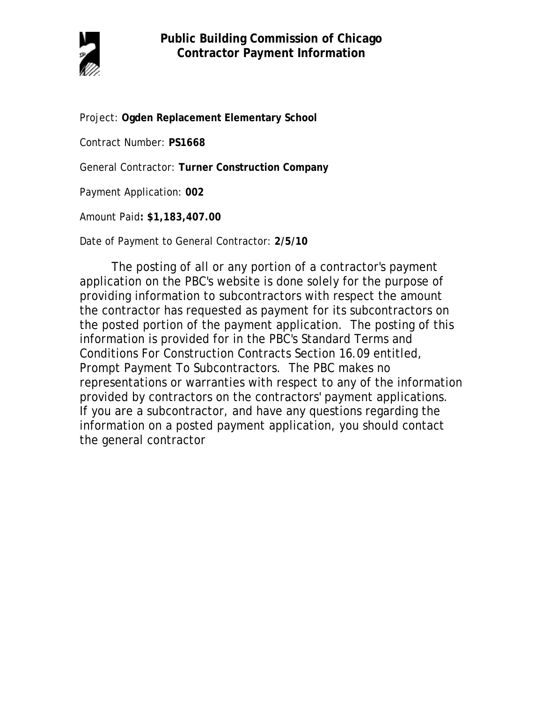

Project: **Ogden Replacement Elementary School**

Contract Number: **PS1668**

General Contractor: **Turner Construction Company**

Payment Application: **002**

Amount Paid**: \$1,183,407.00** 

Date of Payment to General Contractor: **2/5/10**

The posting of all or any portion of a contractor's payment application on the PBC's website is done solely for the purpose of providing information to subcontractors with respect the amount the contractor has requested as payment for its subcontractors on the posted portion of the payment application. The posting of this information is provided for in the PBC's Standard Terms and Conditions For Construction Contracts Section 16.09 entitled, Prompt Payment To Subcontractors. The PBC makes no representations or warranties with respect to any of the information provided by contractors on the contractors' payment applications. If you are a subcontractor, and have any questions regarding the information on a posted payment application, you should contact the general contractor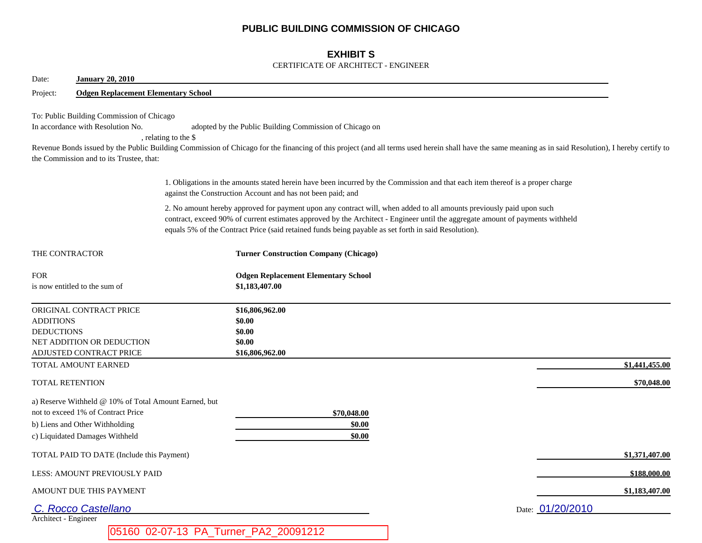## **PUBLIC BUILDING COMMISSION OF CHICAGO**

## **EXHIBIT S**

### CERTIFICATE OF ARCHITECT - ENGINEER

| <b>January 20, 2010</b><br>Date:                                                                                                                                |                      |                                                                                                                                                                                                                                                                                                                                                                |  |                  |
|-----------------------------------------------------------------------------------------------------------------------------------------------------------------|----------------------|----------------------------------------------------------------------------------------------------------------------------------------------------------------------------------------------------------------------------------------------------------------------------------------------------------------------------------------------------------------|--|------------------|
| <b>Odgen Replacement Elementary School</b><br>Project:                                                                                                          |                      |                                                                                                                                                                                                                                                                                                                                                                |  |                  |
| To: Public Building Commission of Chicago<br>In accordance with Resolution No.<br>the Commission and to its Trustee, that:                                      | , relating to the \$ | adopted by the Public Building Commission of Chicago on<br>Revenue Bonds issued by the Public Building Commission of Chicago for the financing of this project (and all terms used herein shall have the same meaning as in said Resolution), I hereby certify to                                                                                              |  |                  |
|                                                                                                                                                                 |                      | 1. Obligations in the amounts stated herein have been incurred by the Commission and that each item thereof is a proper charge<br>against the Construction Account and has not been paid; and                                                                                                                                                                  |  |                  |
|                                                                                                                                                                 |                      | 2. No amount hereby approved for payment upon any contract will, when added to all amounts previously paid upon such<br>contract, exceed 90% of current estimates approved by the Architect - Engineer until the aggregate amount of payments withheld<br>equals 5% of the Contract Price (said retained funds being payable as set forth in said Resolution). |  |                  |
| THE CONTRACTOR                                                                                                                                                  |                      | <b>Turner Construction Company (Chicago)</b>                                                                                                                                                                                                                                                                                                                   |  |                  |
| <b>FOR</b><br>is now entitled to the sum of                                                                                                                     |                      | <b>Odgen Replacement Elementary School</b><br>\$1,183,407.00                                                                                                                                                                                                                                                                                                   |  |                  |
| ORIGINAL CONTRACT PRICE<br><b>ADDITIONS</b><br><b>DEDUCTIONS</b><br>NET ADDITION OR DEDUCTION<br>ADJUSTED CONTRACT PRICE                                        |                      | \$16,806,962.00<br>\$0.00<br>\$0.00<br>\$0.00<br>\$16,806,962.00                                                                                                                                                                                                                                                                                               |  |                  |
| TOTAL AMOUNT EARNED                                                                                                                                             |                      |                                                                                                                                                                                                                                                                                                                                                                |  | \$1,441,455.00   |
| <b>TOTAL RETENTION</b>                                                                                                                                          |                      |                                                                                                                                                                                                                                                                                                                                                                |  | \$70,048.00      |
| a) Reserve Withheld @ 10% of Total Amount Earned, but<br>not to exceed 1% of Contract Price<br>b) Liens and Other Withholding<br>c) Liquidated Damages Withheld |                      | \$70,048.00<br>\$0.00<br>\$0.00                                                                                                                                                                                                                                                                                                                                |  |                  |
| TOTAL PAID TO DATE (Include this Payment)                                                                                                                       |                      |                                                                                                                                                                                                                                                                                                                                                                |  | \$1,371,407.00   |
| LESS: AMOUNT PREVIOUSLY PAID                                                                                                                                    |                      |                                                                                                                                                                                                                                                                                                                                                                |  | \$188,000.00     |
| AMOUNT DUE THIS PAYMENT                                                                                                                                         |                      |                                                                                                                                                                                                                                                                                                                                                                |  | \$1,183,407.00   |
| C. Rocco Castellano                                                                                                                                             |                      |                                                                                                                                                                                                                                                                                                                                                                |  | Date: 01/20/2010 |
| Architect - Engineer                                                                                                                                            |                      |                                                                                                                                                                                                                                                                                                                                                                |  |                  |
|                                                                                                                                                                 |                      | 05160 02-07-13 PA_Turner_PA2_20091212                                                                                                                                                                                                                                                                                                                          |  |                  |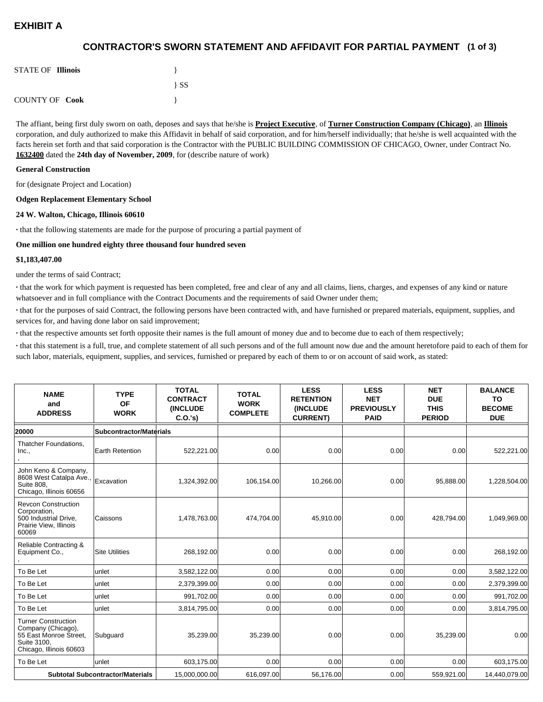# **EXHIBIT A**

## **(1 of 3) CONTRACTOR'S SWORN STATEMENT AND AFFIDAVIT FOR PARTIAL PAYMENT**

| <b>STATE OF Illinois</b> |          |
|--------------------------|----------|
|                          | $\{SS\}$ |
| <b>COUNTY OF Cook</b>    |          |

The affiant, being first duly sworn on oath, deposes and says that he/she is **Project Executive**, of **Turner Construction Company (Chicago)**, an **Illinois** corporation, and duly authorized to make this Affidavit in behalf of said corporation, and for him/herself individually; that he/she is well acquainted with the facts herein set forth and that said corporation is the Contractor with the PUBLIC BUILDING COMMISSION OF CHICAGO, Owner, under Contract No. **1632400** dated the **24th day of November, 2009**, for (describe nature of work)

#### **General Construction**

for (designate Project and Location)

#### **Odgen Replacement Elementary School**

#### **24 W. Walton, Chicago, Illinois 60610**

**·** that the following statements are made for the purpose of procuring a partial payment of

#### **One million one hundred eighty three thousand four hundred seven**

#### **\$1,183,407.00**

under the terms of said Contract;

**·** that the work for which payment is requested has been completed, free and clear of any and all claims, liens, charges, and expenses of any kind or nature whatsoever and in full compliance with the Contract Documents and the requirements of said Owner under them;

**·** that for the purposes of said Contract, the following persons have been contracted with, and have furnished or prepared materials, equipment, supplies, and services for, and having done labor on said improvement;

**·** that the respective amounts set forth opposite their names is the full amount of money due and to become due to each of them respectively;

**·** that this statement is a full, true, and complete statement of all such persons and of the full amount now due and the amount heretofore paid to each of them for such labor, materials, equipment, supplies, and services, furnished or prepared by each of them to or on account of said work, as stated:

| <b>NAME</b><br>and<br><b>ADDRESS</b>                                                                                 | <b>TYPE</b><br><b>OF</b><br><b>WORK</b> | <b>TOTAL</b><br><b>CONTRACT</b><br>(INCLUDE<br>C.0.'s) | <b>TOTAL</b><br><b>WORK</b><br><b>COMPLETE</b> | <b>LESS</b><br><b>RETENTION</b><br><b>(INCLUDE</b><br><b>CURRENT)</b> | <b>LESS</b><br><b>NET</b><br><b>PREVIOUSLY</b><br><b>PAID</b> | <b>NET</b><br><b>DUE</b><br><b>THIS</b><br><b>PERIOD</b> | <b>BALANCE</b><br><b>TO</b><br><b>BECOME</b><br><b>DUE</b> |
|----------------------------------------------------------------------------------------------------------------------|-----------------------------------------|--------------------------------------------------------|------------------------------------------------|-----------------------------------------------------------------------|---------------------------------------------------------------|----------------------------------------------------------|------------------------------------------------------------|
| 20000                                                                                                                | <b>Subcontractor/Materials</b>          |                                                        |                                                |                                                                       |                                                               |                                                          |                                                            |
| Thatcher Foundations.<br>Inc.,                                                                                       | Earth Retention                         | 522,221.00                                             | 0.00                                           | 0.00                                                                  | 0.00                                                          | 0.00                                                     | 522,221.00                                                 |
| John Keno & Company,<br>8608 West Catalpa Ave.,<br><b>Suite 808.</b><br>Chicago, Illinois 60656                      | Excavation                              | 1,324,392.00                                           | 106,154.00                                     | 10,266.00                                                             | 0.00                                                          | 95,888.00                                                | 1,228,504.00                                               |
| <b>Revcon Construction</b><br>Corporation,<br>500 Industrial Drive,<br>Prairie View, Illinois<br>60069               | Caissons                                | 1,478,763.00                                           | 474,704.00                                     | 45,910.00                                                             | 0.00                                                          | 428,794.00                                               | 1,049,969.00                                               |
| Reliable Contracting &<br>Equipment Co.,                                                                             | <b>Site Utilities</b>                   | 268,192.00                                             | 0.00                                           | 0.00                                                                  | 0.00                                                          | 0.00                                                     | 268,192.00                                                 |
| To Be Let                                                                                                            | unlet                                   | 3,582,122.00                                           | 0.00                                           | 0.00                                                                  | 0.00                                                          | 0.00                                                     | 3,582,122.00                                               |
| To Be Let                                                                                                            | unlet                                   | 2,379,399.00                                           | 0.00                                           | 0.00                                                                  | 0.00                                                          | 0.00                                                     | 2,379,399.00                                               |
| To Be Let                                                                                                            | unlet                                   | 991,702.00                                             | 0.00                                           | 0.00                                                                  | 0.00                                                          | 0.00                                                     | 991,702.00                                                 |
| To Be Let                                                                                                            | unlet                                   | 3,814,795.00                                           | 0.00                                           | 0.00                                                                  | 0.00                                                          | 0.00                                                     | 3,814,795.00                                               |
| <b>Turner Construction</b><br>Company (Chicago),<br>55 East Monroe Street,<br>Suite 3100.<br>Chicago, Illinois 60603 | Subguard                                | 35,239.00                                              | 35,239.00                                      | 0.00                                                                  | 0.00                                                          | 35,239.00                                                | 0.00                                                       |
| To Be Let                                                                                                            | lunlet                                  | 603,175.00                                             | 0.00                                           | 0.00                                                                  | 0.00                                                          | 0.00                                                     | 603,175.00                                                 |
| <b>Subtotal Subcontractor/Materials</b>                                                                              |                                         | 15,000,000.00                                          | 616,097.00                                     | 56,176.00                                                             | 0.00                                                          | 559,921.00                                               | 14,440,079.00                                              |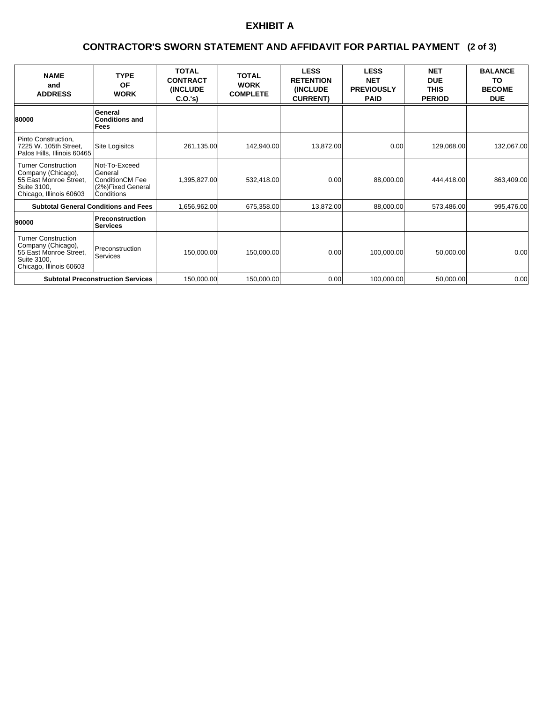# **EXHIBIT A**

### **(2 of 3) CONTRACTOR'S SWORN STATEMENT AND AFFIDAVIT FOR PARTIAL PAYMENT**

| <b>NAME</b><br>and<br><b>ADDRESS</b>                                                                                 | <b>TYPE</b><br>OF<br><b>WORK</b>                                                      | <b>TOTAL</b><br><b>CONTRACT</b><br>(INCLUDE<br>C.O.'s | <b>TOTAL</b><br><b>WORK</b><br><b>COMPLETE</b> | <b>LESS</b><br><b>RETENTION</b><br>(INCLUDE<br><b>CURRENT)</b> | <b>LESS</b><br><b>NET</b><br><b>PREVIOUSLY</b><br><b>PAID</b> | <b>NET</b><br><b>DUE</b><br><b>THIS</b><br><b>PERIOD</b> | <b>BALANCE</b><br>TO<br><b>BECOME</b><br><b>DUE</b> |
|----------------------------------------------------------------------------------------------------------------------|---------------------------------------------------------------------------------------|-------------------------------------------------------|------------------------------------------------|----------------------------------------------------------------|---------------------------------------------------------------|----------------------------------------------------------|-----------------------------------------------------|
| 80000                                                                                                                | General<br><b>Conditions and</b><br>Fees                                              |                                                       |                                                |                                                                |                                                               |                                                          |                                                     |
| Pinto Construction,<br>7225 W. 105th Street,<br>Palos Hills, Illinois 60465                                          | Site Logisitcs                                                                        | 261,135.00                                            | 142,940.00                                     | 13,872.00                                                      | 0.00                                                          | 129,068.00                                               | 132,067.00                                          |
| <b>Turner Construction</b><br>Company (Chicago),<br>55 East Monroe Street,<br>Suite 3100,<br>Chicago, Illinois 60603 | Not-To-Exceed<br>General<br>ConditionCM Fee<br>(2%)Fixed General<br><b>Conditions</b> | 1,395,827.00                                          | 532,418.00                                     | 0.00                                                           | 88,000.00                                                     | 444,418.00                                               | 863,409.00                                          |
| <b>Subtotal General Conditions and Fees</b>                                                                          |                                                                                       | 1,656,962.00                                          | 675,358.00                                     | 13,872.00                                                      | 88,000.00                                                     | 573,486.00                                               | 995,476.00                                          |
| 90000                                                                                                                | Preconstruction<br>Services                                                           |                                                       |                                                |                                                                |                                                               |                                                          |                                                     |
| <b>Turner Construction</b><br>Company (Chicago),<br>55 East Monroe Street,<br>Suite 3100,<br>Chicago, Illinois 60603 | Preconstruction<br>Services                                                           | 150,000.00                                            | 150,000.00                                     | 0.00                                                           | 100,000.00                                                    | 50,000.00                                                | 0.00                                                |
| <b>Subtotal Preconstruction Services</b>                                                                             |                                                                                       | 150,000.00                                            | 150,000.00                                     | 0.00                                                           | 100,000.00                                                    | 50,000.00                                                | 0.00                                                |